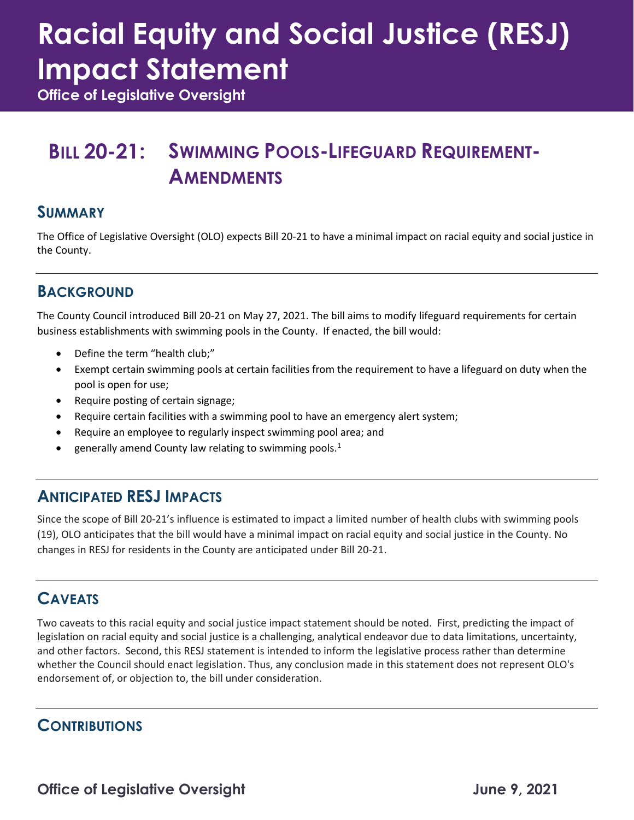# **Racial Equity and Social Justice (RESJ) Impact Statement**

**Office of Legislative Oversight**

### **BILL 20-21: SWIMMING POOLS-LIFEGUARD REQUIREMENT-AMENDMENTS**

#### **SUMMARY**

The Office of Legislative Oversight (OLO) expects Bill 20-21 to have a minimal impact on racial equity and social justice in the County.

#### **BACKGROUND**

The County Council introduced Bill 20-21 on May 27, 2021. The bill aims to modify lifeguard requirements for certain business establishments with swimming pools in the County. If enacted, the bill would:

- Define the term "health club;"
- Exempt certain swimming pools at certain facilities from the requirement to have a lifeguard on duty when the pool is open for use;
- Require posting of certain signage;
- Require certain facilities with a swimming pool to have an emergency alert system;
- Require an employee to regularly inspect swimming pool area; and
- $\bullet$  generally amend County law relating to swimming pools.<sup>[1](#page-1-0)</sup>

#### **ANTICIPATED RESJ IMPACTS**

Since the scope of Bill 20-21's influence is estimated to impact a limited number of health clubs with swimming pools (19), OLO anticipates that the bill would have a minimal impact on racial equity and social justice in the County. No changes in RESJ for residents in the County are anticipated under Bill 20-21.

#### **CAVEATS**

Two caveats to this racial equity and social justice impact statement should be noted. First, predicting the impact of legislation on racial equity and social justice is a challenging, analytical endeavor due to data limitations, uncertainty, and other factors. Second, this RESJ statement is intended to inform the legislative process rather than determine whether the Council should enact legislation. Thus, any conclusion made in this statement does not represent OLO's endorsement of, or objection to, the bill under consideration.

#### **CONTRIBUTIONS**